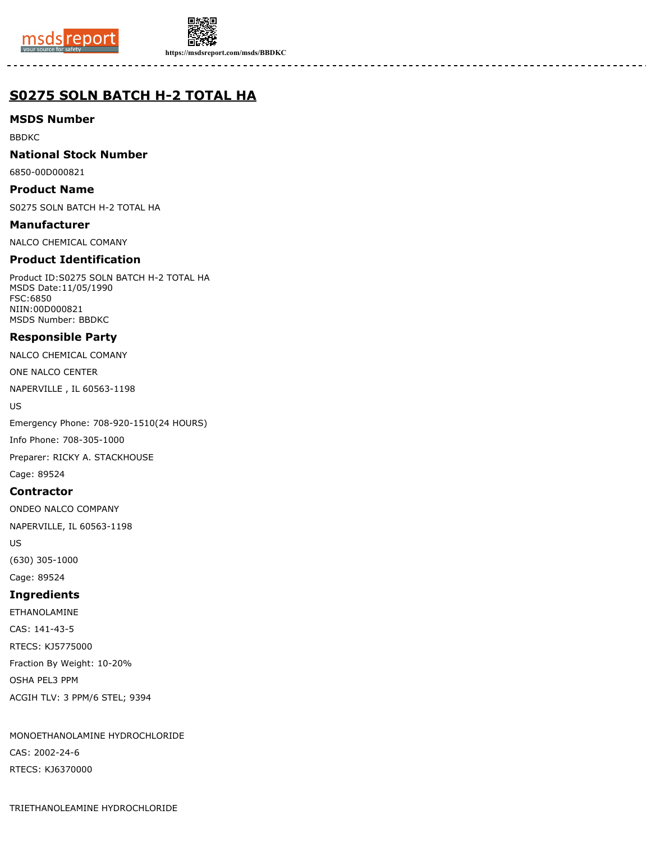



**https://msdsreport.com/msds/BBDKC**

# **S0275 SOLN BATCH H-2 TOTAL HA**

# **MSDS Number**

BBDKC

### **National Stock Number**

6850-00D000821

### **Product Name**

S0275 SOLN BATCH H-2 TOTAL HA

**Manufacturer** NALCO CHEMICAL COMANY

# **Product Identification**

Product ID:S0275 SOLN BATCH H-2 TOTAL HA MSDS Date:11/05/1990 FSC:6850 NIIN:00D000821 MSDS Number: BBDKC

# **Responsible Party**

NALCO CHEMICAL COMANY

ONE NALCO CENTER

NAPERVILLE , IL 60563-1198

US

Emergency Phone: 708-920-1510(24 HOURS)

Info Phone: 708-305-1000

Preparer: RICKY A. STACKHOUSE

Cage: 89524

### **Contractor**

ONDEO NALCO COMPANY

NAPERVILLE, IL 60563-1198

US

(630) 305-1000 Cage: 89524

# **Ingredients**

ETHANOLAMINE CAS: 141-43-5 RTECS: KJ5775000 Fraction By Weight: 10-20% OSHA PEL3 PPM ACGIH TLV: 3 PPM/6 STEL; 9394

MONOETHANOLAMINE HYDROCHLORIDE CAS: 2002-24-6 RTECS: KJ6370000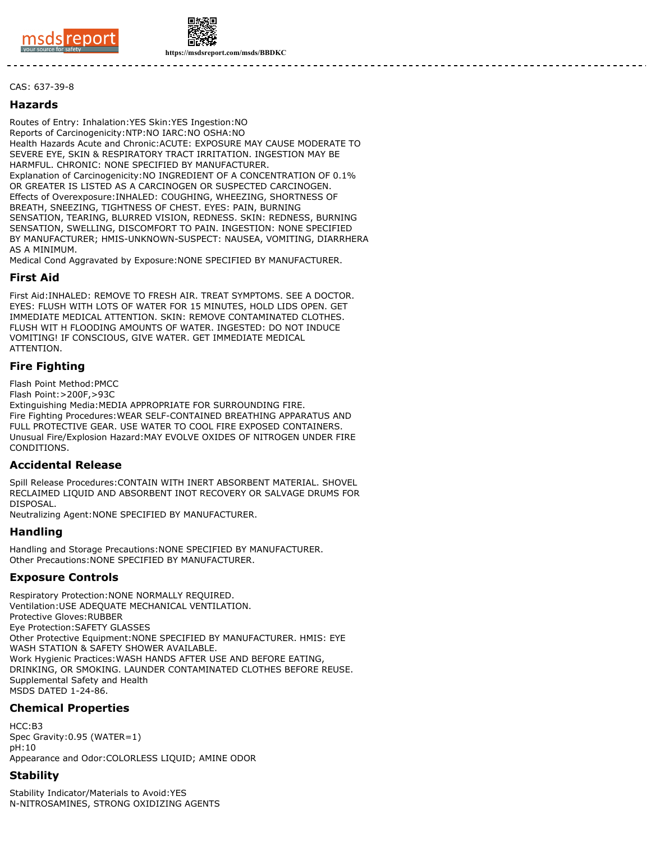



**https://msdsreport.com/msds/BBDKC**

#### CAS: 637-39-8

#### **Hazards**

Routes of Entry: Inhalation:YES Skin:YES Ingestion:NO Reports of Carcinogenicity:NTP:NO IARC:NO OSHA:NO Health Hazards Acute and Chronic:ACUTE: EXPOSURE MAY CAUSE MODERATE TO SEVERE EYE, SKIN & RESPIRATORY TRACT IRRITATION. INGESTION MAY BE HARMFUL. CHRONIC: NONE SPECIFIED BY MANUFACTURER. Explanation of Carcinogenicity:NO INGREDIENT OF A CONCENTRATION OF 0.1% OR GREATER IS LISTED AS A CARCINOGEN OR SUSPECTED CARCINOGEN. Effects of Overexposure:INHALED: COUGHING, WHEEZING, SHORTNESS OF BREATH, SNEEZING, TIGHTNESS OF CHEST. EYES: PAIN, BURNING SENSATION, TEARING, BLURRED VISION, REDNESS. SKIN: REDNESS, BURNING SENSATION, SWELLING, DISCOMFORT TO PAIN. INGESTION: NONE SPECIFIED BY MANUFACTURER; HMIS-UNKNOWN-SUSPECT: NAUSEA, VOMITING, DIARRHERA AS A MINIMUM.

Medical Cond Aggravated by Exposure:NONE SPECIFIED BY MANUFACTURER.

#### **First Aid**

First Aid:INHALED: REMOVE TO FRESH AIR. TREAT SYMPTOMS. SEE A DOCTOR. EYES: FLUSH WITH LOTS OF WATER FOR 15 MINUTES, HOLD LIDS OPEN. GET IMMEDIATE MEDICAL ATTENTION. SKIN: REMOVE CONTAMINATED CLOTHES. FLUSH WIT H FLOODING AMOUNTS OF WATER. INGESTED: DO NOT INDUCE VOMITING! IF CONSCIOUS, GIVE WATER. GET IMMEDIATE MEDICAL ATTENTION.

### **Fire Fighting**

Flash Point Method:PMCC

Flash Point:>200F,>93C

Extinguishing Media:MEDIA APPROPRIATE FOR SURROUNDING FIRE. Fire Fighting Procedures:WEAR SELF-CONTAINED BREATHING APPARATUS AND FULL PROTECTIVE GEAR. USE WATER TO COOL FIRE EXPOSED CONTAINERS. Unusual Fire/Explosion Hazard:MAY EVOLVE OXIDES OF NITROGEN UNDER FIRE **CONDITIONS** 

### **Accidental Release**

Spill Release Procedures:CONTAIN WITH INERT ABSORBENT MATERIAL. SHOVEL RECLAIMED LIQUID AND ABSORBENT INOT RECOVERY OR SALVAGE DRUMS FOR DISPOSAL.

Neutralizing Agent:NONE SPECIFIED BY MANUFACTURER.

### **Handling**

Handling and Storage Precautions:NONE SPECIFIED BY MANUFACTURER. Other Precautions:NONE SPECIFIED BY MANUFACTURER.

### **Exposure Controls**

Respiratory Protection:NONE NORMALLY REQUIRED. Ventilation:USE ADEQUATE MECHANICAL VENTILATION. Protective Gloves:RUBBER Eye Protection:SAFETY GLASSES Other Protective Equipment:NONE SPECIFIED BY MANUFACTURER. HMIS: EYE WASH STATION & SAFETY SHOWER AVAILABLE. Work Hygienic Practices:WASH HANDS AFTER USE AND BEFORE EATING, DRINKING, OR SMOKING. LAUNDER CONTAMINATED CLOTHES BEFORE REUSE. Supplemental Safety and Health MSDS DATED 1-24-86.

# **Chemical Properties**

HCC:B3 Spec Gravity:0.95 (WATER=1)  $nH:10$ Appearance and Odor:COLORLESS LIQUID; AMINE ODOR

### **Stability**

Stability Indicator/Materials to Avoid:YES N-NITROSAMINES, STRONG OXIDIZING AGENTS